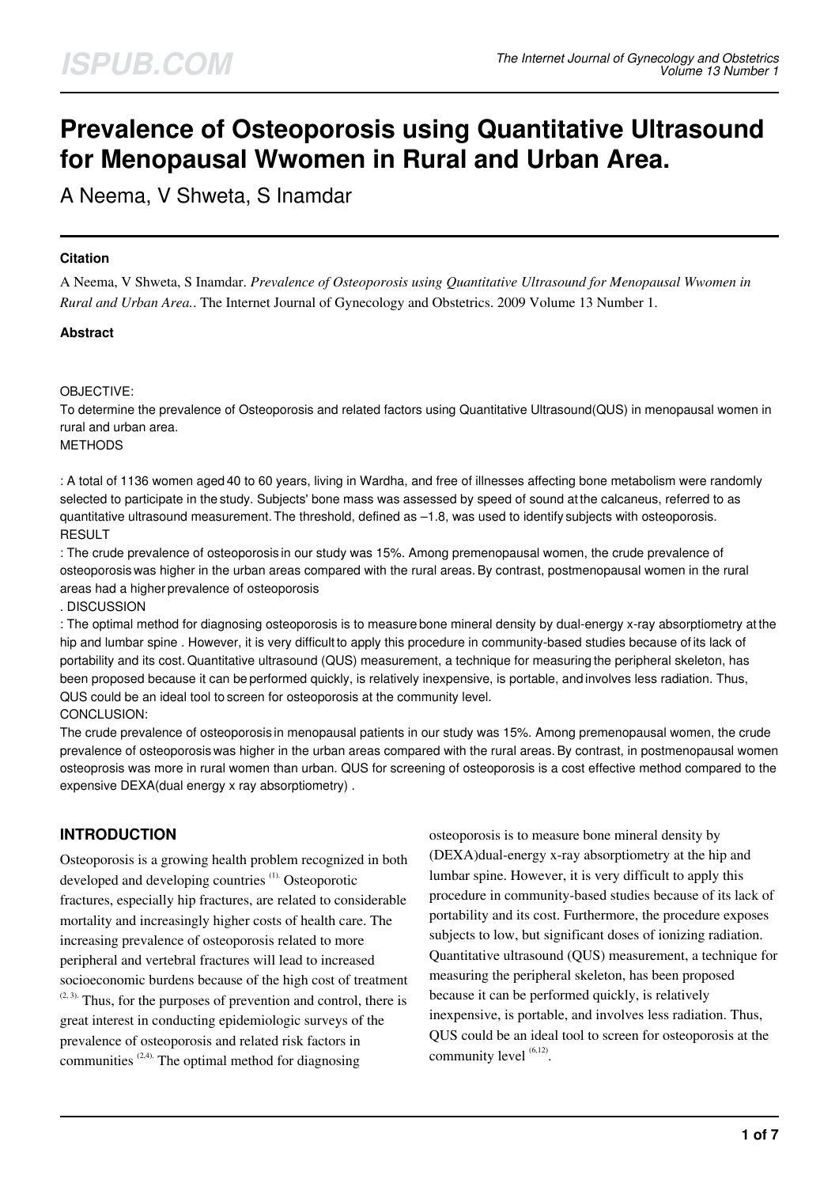# **Prevalence of Osteoporosis using Quantitative Ultrasound for Menopausal Wwomen in Rural and Urban Area.**

A Neema, V Shweta, S Inamdar

## **Citation**

A Neema, V Shweta, S Inamdar. *Prevalence of Osteoporosis using Quantitative Ultrasound for Menopausal Wwomen in Rural and Urban Area.*. The Internet Journal of Gynecology and Obstetrics. 2009 Volume 13 Number 1.

## **Abstract**

#### OBJECTIVE:

To determine the prevalence of Osteoporosis and related factors using Quantitative Ultrasound(QUS) in menopausal women in rural and urban area. **METHODS** 

: A total of 1136 women aged 40 to 60 years, living in Wardha, and free of illnesses affecting bone metabolism were randomly selected to participate in the study. Subjects' bone mass was assessed by speed of sound at the calcaneus, referred to as quantitative ultrasound measurement. The threshold, defined as –1.8, was used to identify subjects with osteoporosis. RESULT

: The crude prevalence of osteoporosis in our study was 15%. Among premenopausal women, the crude prevalence of osteoporosis was higher in the urban areas compared with the rural areas.By contrast, postmenopausal women in the rural areas had a higher prevalence of osteoporosis

. DISCUSSION

: The optimal method for diagnosing osteoporosis is to measure bone mineral density by dual-energy x-ray absorptiometry at the hip and lumbar spine . However, it is very difficult to apply this procedure in community-based studies because of its lack of portability and its cost.Quantitative ultrasound (QUS) measurement, a technique for measuring the peripheral skeleton, has been proposed because it can be performed quickly, is relatively inexpensive, is portable, and involves less radiation. Thus, QUS could be an ideal tool to screen for osteoporosis at the community level. CONCLUSION:

The crude prevalence of osteoporosis in menopausal patients in our study was 15%. Among premenopausal women, the crude prevalence of osteoporosis was higher in the urban areas compared with the rural areas.By contrast, in postmenopausal women osteoprosis was more in rural women than urban. QUS for screening of osteoporosis is a cost effective method compared to the expensive DEXA(dual energy x ray absorptiometry) .

# **INTRODUCTION**

Osteoporosis is a growing health problem recognized in both developed and developing countries (1). Osteoporotic fractures, especially hip fractures, are related to considerable mortality and increasingly higher costs of health care. The increasing prevalence of osteoporosis related to more peripheral and vertebral fractures will lead to increased socioeconomic burdens because of the high cost of treatment  $(2, 3)$ . Thus, for the purposes of prevention and control, there is great interest in conducting epidemiologic surveys of the prevalence of osteoporosis and related risk factors in communities  $(2,4)$ . The optimal method for diagnosing

osteoporosis is to measure bone mineral density by (DEXA)dual-energy x-ray absorptiometry at the hip and lumbar spine. However, it is very difficult to apply this procedure in community-based studies because of its lack of portability and its cost. Furthermore, the procedure exposes subjects to low, but significant doses of ionizing radiation. Quantitative ultrasound (QUS) measurement, a technique for measuring the peripheral skeleton, has been proposed because it can be performed quickly, is relatively inexpensive, is portable, and involves less radiation. Thus, QUS could be an ideal tool to screen for osteoporosis at the community level  $(6,12)$ .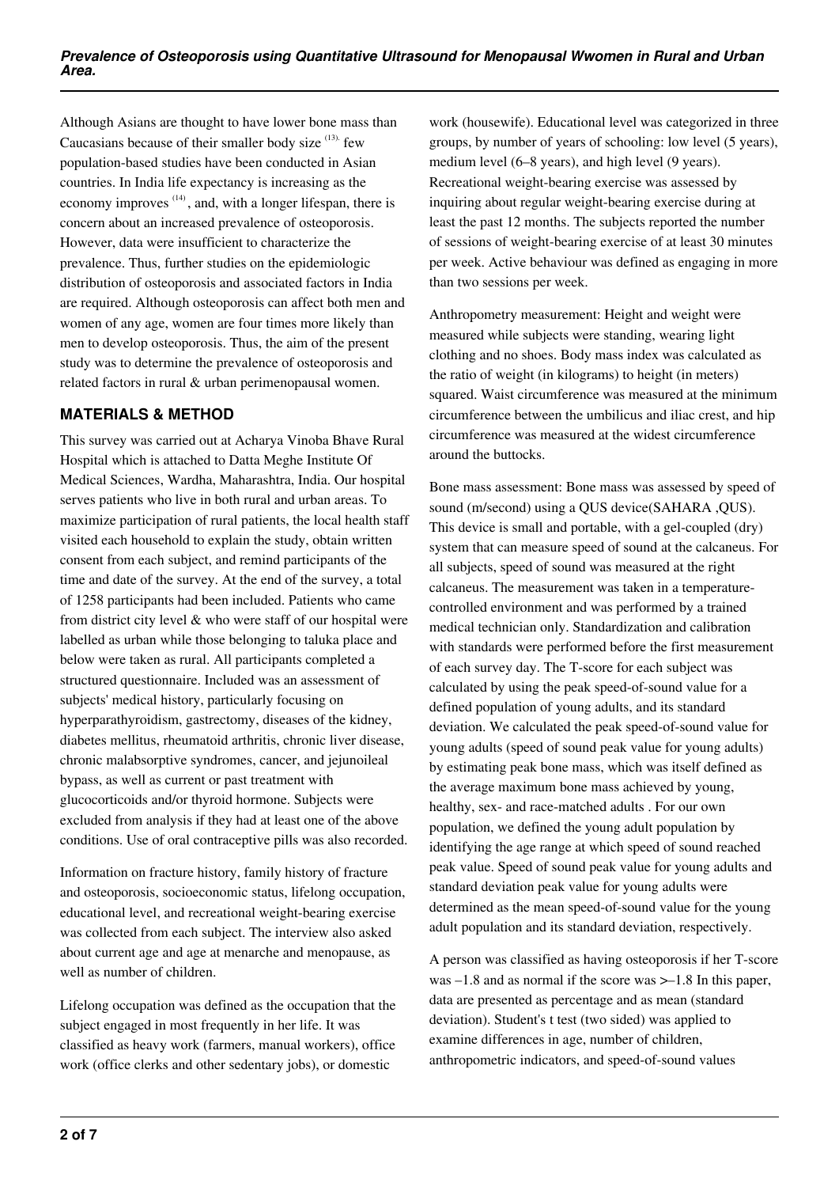Although Asians are thought to have lower bone mass than Caucasians because of their smaller body size  $(13)$ . few population-based studies have been conducted in Asian countries. In India life expectancy is increasing as the economy improves  $(14)$ , and, with a longer lifespan, there is concern about an increased prevalence of osteoporosis. However, data were insufficient to characterize the prevalence. Thus, further studies on the epidemiologic distribution of osteoporosis and associated factors in India are required. Although osteoporosis can affect both men and women of any age, women are four times more likely than men to develop osteoporosis. Thus, the aim of the present study was to determine the prevalence of osteoporosis and related factors in rural & urban perimenopausal women.

# **MATERIALS & METHOD**

This survey was carried out at Acharya Vinoba Bhave Rural Hospital which is attached to Datta Meghe Institute Of Medical Sciences, Wardha, Maharashtra, India. Our hospital serves patients who live in both rural and urban areas. To maximize participation of rural patients, the local health staff visited each household to explain the study, obtain written consent from each subject, and remind participants of the time and date of the survey. At the end of the survey, a total of 1258 participants had been included. Patients who came from district city level & who were staff of our hospital were labelled as urban while those belonging to taluka place and below were taken as rural. All participants completed a structured questionnaire. Included was an assessment of subjects' medical history, particularly focusing on hyperparathyroidism, gastrectomy, diseases of the kidney, diabetes mellitus, rheumatoid arthritis, chronic liver disease, chronic malabsorptive syndromes, cancer, and jejunoileal bypass, as well as current or past treatment with glucocorticoids and/or thyroid hormone. Subjects were excluded from analysis if they had at least one of the above conditions. Use of oral contraceptive pills was also recorded.

Information on fracture history, family history of fracture and osteoporosis, socioeconomic status, lifelong occupation, educational level, and recreational weight-bearing exercise was collected from each subject. The interview also asked about current age and age at menarche and menopause, as well as number of children.

Lifelong occupation was defined as the occupation that the subject engaged in most frequently in her life. It was classified as heavy work (farmers, manual workers), office work (office clerks and other sedentary jobs), or domestic

work (housewife). Educational level was categorized in three groups, by number of years of schooling: low level (5 years), medium level (6–8 years), and high level (9 years). Recreational weight-bearing exercise was assessed by inquiring about regular weight-bearing exercise during at least the past 12 months. The subjects reported the number of sessions of weight-bearing exercise of at least 30 minutes per week. Active behaviour was defined as engaging in more than two sessions per week.

Anthropometry measurement: Height and weight were measured while subjects were standing, wearing light clothing and no shoes. Body mass index was calculated as the ratio of weight (in kilograms) to height (in meters) squared. Waist circumference was measured at the minimum circumference between the umbilicus and iliac crest, and hip circumference was measured at the widest circumference around the buttocks.

Bone mass assessment: Bone mass was assessed by speed of sound (m/second) using a QUS device(SAHARA , OUS). This device is small and portable, with a gel-coupled (dry) system that can measure speed of sound at the calcaneus. For all subjects, speed of sound was measured at the right calcaneus. The measurement was taken in a temperaturecontrolled environment and was performed by a trained medical technician only. Standardization and calibration with standards were performed before the first measurement of each survey day. The T-score for each subject was calculated by using the peak speed-of-sound value for a defined population of young adults, and its standard deviation. We calculated the peak speed-of-sound value for young adults (speed of sound peak value for young adults) by estimating peak bone mass, which was itself defined as the average maximum bone mass achieved by young, healthy, sex- and race-matched adults . For our own population, we defined the young adult population by identifying the age range at which speed of sound reached peak value. Speed of sound peak value for young adults and standard deviation peak value for young adults were determined as the mean speed-of-sound value for the young adult population and its standard deviation, respectively.

A person was classified as having osteoporosis if her T-score was  $-1.8$  and as normal if the score was  $>-1.8$  In this paper, data are presented as percentage and as mean (standard deviation). Student's t test (two sided) was applied to examine differences in age, number of children, anthropometric indicators, and speed-of-sound values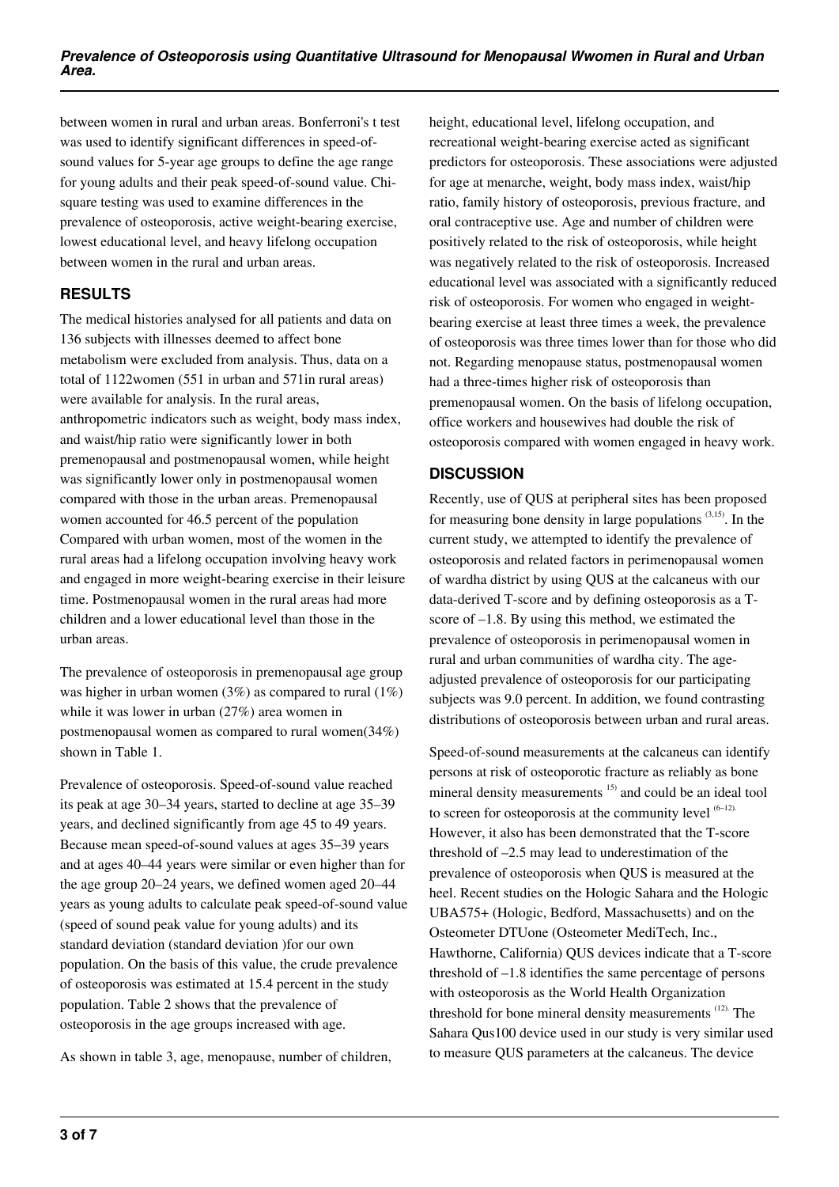between women in rural and urban areas. Bonferroni's t test was used to identify significant differences in speed-ofsound values for 5-year age groups to define the age range for young adults and their peak speed-of-sound value. Chisquare testing was used to examine differences in the prevalence of osteoporosis, active weight-bearing exercise, lowest educational level, and heavy lifelong occupation between women in the rural and urban areas.

# **RESULTS**

The medical histories analysed for all patients and data on 136 subjects with illnesses deemed to affect bone metabolism were excluded from analysis. Thus, data on a total of 1122women (551 in urban and 571in rural areas) were available for analysis. In the rural areas, anthropometric indicators such as weight, body mass index, and waist/hip ratio were significantly lower in both premenopausal and postmenopausal women, while height was significantly lower only in postmenopausal women compared with those in the urban areas. Premenopausal women accounted for 46.5 percent of the population Compared with urban women, most of the women in the rural areas had a lifelong occupation involving heavy work and engaged in more weight-bearing exercise in their leisure time. Postmenopausal women in the rural areas had more children and a lower educational level than those in the urban areas.

The prevalence of osteoporosis in premenopausal age group was higher in urban women  $(3%)$  as compared to rural  $(1%)$ while it was lower in urban (27%) area women in postmenopausal women as compared to rural women(34%) shown in Table 1.

Prevalence of osteoporosis. Speed-of-sound value reached its peak at age 30–34 years, started to decline at age 35–39 years, and declined significantly from age 45 to 49 years. Because mean speed-of-sound values at ages 35–39 years and at ages 40–44 years were similar or even higher than for the age group 20–24 years, we defined women aged 20–44 years as young adults to calculate peak speed-of-sound value (speed of sound peak value for young adults) and its standard deviation (standard deviation )for our own population. On the basis of this value, the crude prevalence of osteoporosis was estimated at 15.4 percent in the study population. Table 2 shows that the prevalence of osteoporosis in the age groups increased with age.

As shown in table 3, age, menopause, number of children,

height, educational level, lifelong occupation, and recreational weight-bearing exercise acted as significant predictors for osteoporosis. These associations were adjusted for age at menarche, weight, body mass index, waist/hip ratio, family history of osteoporosis, previous fracture, and oral contraceptive use. Age and number of children were positively related to the risk of osteoporosis, while height was negatively related to the risk of osteoporosis. Increased educational level was associated with a significantly reduced risk of osteoporosis. For women who engaged in weightbearing exercise at least three times a week, the prevalence of osteoporosis was three times lower than for those who did not. Regarding menopause status, postmenopausal women had a three-times higher risk of osteoporosis than premenopausal women. On the basis of lifelong occupation, office workers and housewives had double the risk of osteoporosis compared with women engaged in heavy work.

# **DISCUSSION**

Recently, use of QUS at peripheral sites has been proposed for measuring bone density in large populations  $(3,15)$ . In the current study, we attempted to identify the prevalence of osteoporosis and related factors in perimenopausal women of wardha district by using QUS at the calcaneus with our data-derived T-score and by defining osteoporosis as a Tscore of –1.8. By using this method, we estimated the prevalence of osteoporosis in perimenopausal women in rural and urban communities of wardha city. The ageadjusted prevalence of osteoporosis for our participating subjects was 9.0 percent. In addition, we found contrasting distributions of osteoporosis between urban and rural areas.

Speed-of-sound measurements at the calcaneus can identify persons at risk of osteoporotic fracture as reliably as bone mineral density measurements<sup>15)</sup> and could be an ideal tool to screen for osteoporosis at the community level  $(6-12)$ . However, it also has been demonstrated that the T-score threshold of –2.5 may lead to underestimation of the prevalence of osteoporosis when QUS is measured at the heel. Recent studies on the Hologic Sahara and the Hologic UBA575+ (Hologic, Bedford, Massachusetts) and on the Osteometer DTUone (Osteometer MediTech, Inc., Hawthorne, California) QUS devices indicate that a T-score threshold of –1.8 identifies the same percentage of persons with osteoporosis as the World Health Organization threshold for bone mineral density measurements (12). The Sahara Qus100 device used in our study is very similar used to measure QUS parameters at the calcaneus. The device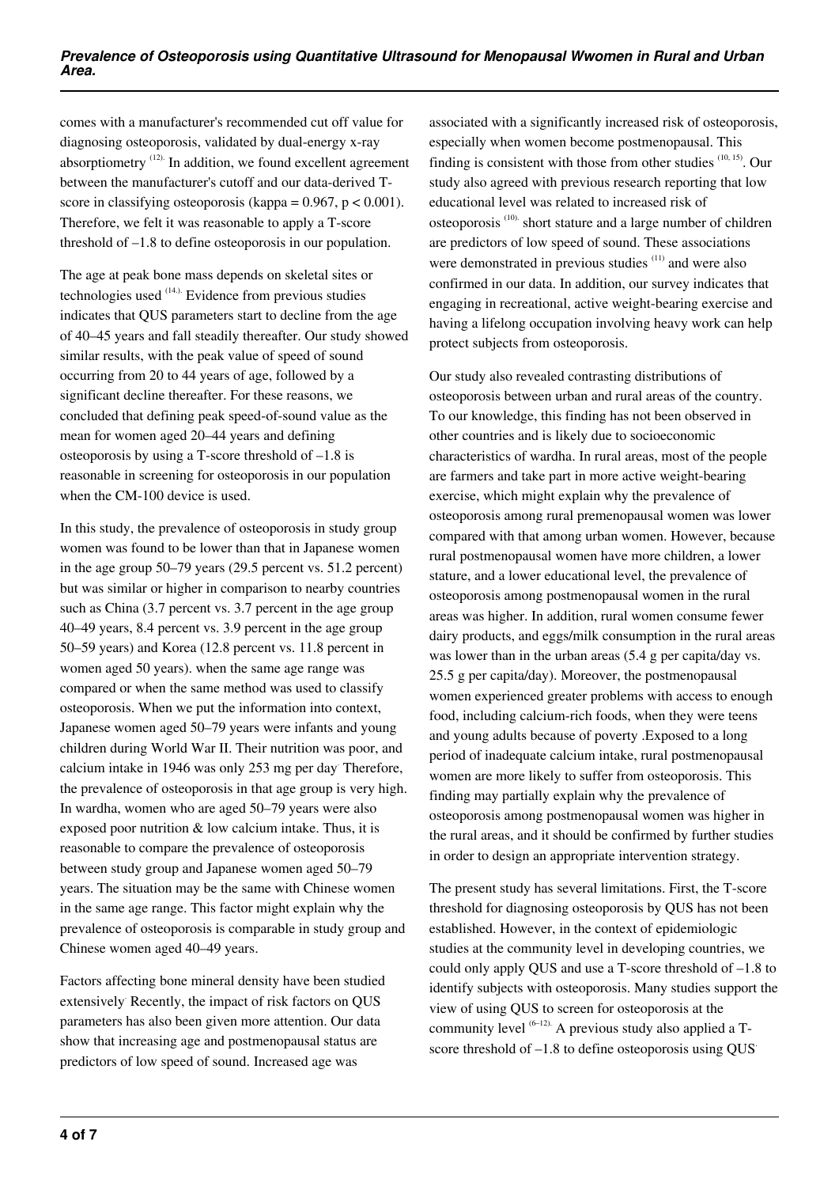comes with a manufacturer's recommended cut off value for diagnosing osteoporosis, validated by dual-energy x-ray absorptiometry (12). In addition, we found excellent agreement between the manufacturer's cutoff and our data-derived Tscore in classifying osteoporosis (kappa =  $0.967$ , p <  $0.001$ ). Therefore, we felt it was reasonable to apply a T-score threshold of –1.8 to define osteoporosis in our population.

The age at peak bone mass depends on skeletal sites or technologies used (14.). Evidence from previous studies indicates that QUS parameters start to decline from the age of 40–45 years and fall steadily thereafter. Our study showed similar results, with the peak value of speed of sound occurring from 20 to 44 years of age, followed by a significant decline thereafter. For these reasons, we concluded that defining peak speed-of-sound value as the mean for women aged 20–44 years and defining osteoporosis by using a T-score threshold of –1.8 is reasonable in screening for osteoporosis in our population when the CM-100 device is used.

In this study, the prevalence of osteoporosis in study group women was found to be lower than that in Japanese women in the age group 50–79 years (29.5 percent vs. 51.2 percent) but was similar or higher in comparison to nearby countries such as China (3.7 percent vs. 3.7 percent in the age group 40–49 years, 8.4 percent vs. 3.9 percent in the age group 50–59 years) and Korea (12.8 percent vs. 11.8 percent in women aged 50 years). when the same age range was compared or when the same method was used to classify osteoporosis. When we put the information into context, Japanese women aged 50–79 years were infants and young children during World War II. Their nutrition was poor, and calcium intake in 1946 was only 253 mg per day. Therefore, the prevalence of osteoporosis in that age group is very high. In wardha, women who are aged 50–79 years were also exposed poor nutrition & low calcium intake. Thus, it is reasonable to compare the prevalence of osteoporosis between study group and Japanese women aged 50–79 years. The situation may be the same with Chinese women in the same age range. This factor might explain why the prevalence of osteoporosis is comparable in study group and Chinese women aged 40–49 years.

Factors affecting bone mineral density have been studied extensively. Recently, the impact of risk factors on QUS parameters has also been given more attention. Our data show that increasing age and postmenopausal status are predictors of low speed of sound. Increased age was

associated with a significantly increased risk of osteoporosis, especially when women become postmenopausal. This finding is consistent with those from other studies  $(10, 15)$ . Our study also agreed with previous research reporting that low educational level was related to increased risk of osteoporosis (10). short stature and a large number of children are predictors of low speed of sound. These associations were demonstrated in previous studies <sup>(11)</sup> and were also confirmed in our data. In addition, our survey indicates that engaging in recreational, active weight-bearing exercise and having a lifelong occupation involving heavy work can help protect subjects from osteoporosis.

Our study also revealed contrasting distributions of osteoporosis between urban and rural areas of the country. To our knowledge, this finding has not been observed in other countries and is likely due to socioeconomic characteristics of wardha. In rural areas, most of the people are farmers and take part in more active weight-bearing exercise, which might explain why the prevalence of osteoporosis among rural premenopausal women was lower compared with that among urban women. However, because rural postmenopausal women have more children, a lower stature, and a lower educational level, the prevalence of osteoporosis among postmenopausal women in the rural areas was higher. In addition, rural women consume fewer dairy products, and eggs/milk consumption in the rural areas was lower than in the urban areas (5.4 g per capita/day vs. 25.5 g per capita/day). Moreover, the postmenopausal women experienced greater problems with access to enough food, including calcium-rich foods, when they were teens and young adults because of poverty .Exposed to a long period of inadequate calcium intake, rural postmenopausal women are more likely to suffer from osteoporosis. This finding may partially explain why the prevalence of osteoporosis among postmenopausal women was higher in the rural areas, and it should be confirmed by further studies in order to design an appropriate intervention strategy.

The present study has several limitations. First, the T-score threshold for diagnosing osteoporosis by QUS has not been established. However, in the context of epidemiologic studies at the community level in developing countries, we could only apply QUS and use a T-score threshold of –1.8 to identify subjects with osteoporosis. Many studies support the view of using QUS to screen for osteoporosis at the community level  $(6-12)$ . A previous study also applied a Tscore threshold of  $-1.8$  to define osteoporosis using OUS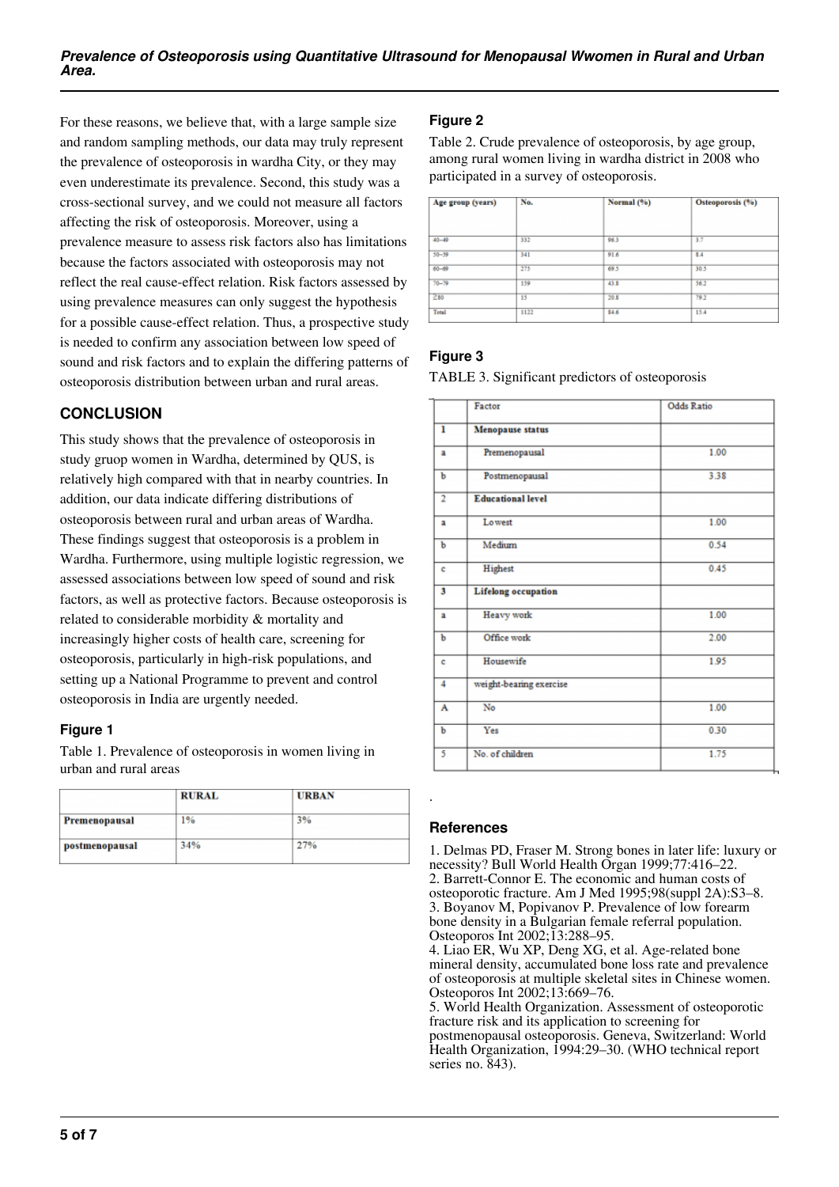For these reasons, we believe that, with a large sample size and random sampling methods, our data may truly represent the prevalence of osteoporosis in wardha City, or they may even underestimate its prevalence. Second, this study was a cross-sectional survey, and we could not measure all factors affecting the risk of osteoporosis. Moreover, using a prevalence measure to assess risk factors also has limitations because the factors associated with osteoporosis may not reflect the real cause-effect relation. Risk factors assessed by using prevalence measures can only suggest the hypothesis for a possible cause-effect relation. Thus, a prospective study is needed to confirm any association between low speed of sound and risk factors and to explain the differing patterns of osteoporosis distribution between urban and rural areas.

# **CONCLUSION**

This study shows that the prevalence of osteoporosis in study gruop women in Wardha, determined by QUS, is relatively high compared with that in nearby countries. In addition, our data indicate differing distributions of osteoporosis between rural and urban areas of Wardha. These findings suggest that osteoporosis is a problem in Wardha. Furthermore, using multiple logistic regression, we assessed associations between low speed of sound and risk factors, as well as protective factors. Because osteoporosis is related to considerable morbidity & mortality and increasingly higher costs of health care, screening for osteoporosis, particularly in high-risk populations, and setting up a National Programme to prevent and control osteoporosis in India are urgently needed.

#### **Figure 1**

Table 1. Prevalence of osteoporosis in women living in urban and rural areas

|                | <b>RURAL</b> | <b>URBAN</b> |  |
|----------------|--------------|--------------|--|
| Premenopausal  | 1%           | 3%           |  |
| postmenopausal | 34%          | 27%          |  |

# **Figure 2**

Table 2. Crude prevalence of osteoporosis, by age group, among rural women living in wardha district in 2008 who participated in a survey of osteoporosis.

| Age group (years) | No.  | Normal (%) | Osteoporosis (%) |
|-------------------|------|------------|------------------|
| $40 - 49$         | 332  | 963        | 3.7              |
| $50 - 59$         | 341  | 91.6       | 8.4              |
| $60 - 69$         | 275  | 69.5       | 30.5             |
| $70 - 79$         | 159  | 43.8       | 56.2             |
| 280               | 15   | 20.8       | 79.2             |
| Total             | 1122 | 846        | 15.4             |

## **Figure 3**

TABLE 3. Significant predictors of osteoporosis

|                         | Factor                     | <b>Odds Ratio</b> |
|-------------------------|----------------------------|-------------------|
| ı                       | Menopause status           |                   |
| a                       | Premenopausal              | 1.00              |
| Ъ                       | Postmenopausal             | 3.38              |
| $\overline{2}$          | <b>Educational level</b>   |                   |
| $\overline{\mathbf{a}}$ | Lo west                    | 1.00              |
| b                       | Medium                     | 0.54              |
| c                       | Highest                    | 0.45              |
| 3                       | <b>Lifelong</b> occupation |                   |
| a                       | Heavy work                 | 1.00              |
| b                       | Office work                | 2.00              |
| ċ                       | Housewife                  | 1.95              |
| 4                       | weight-bearing exercise    |                   |
| A                       | No                         | 1.00              |
| Ъ                       | Yes                        | 0.30              |
| 5                       | No. of children            | 1.75              |

#### **References**

.

1. Delmas PD, Fraser M. Strong bones in later life: luxury or necessity? Bull World Health Organ 1999;77:416–22. 2. Barrett-Connor E. The economic and human costs of osteoporotic fracture. Am J Med 1995;98(suppl 2A):S3–8. 3. Boyanov M, Popivanov P. Prevalence of low forearm bone density in a Bulgarian female referral population. Osteoporos Int 2002;13:288–95. 4. Liao ER, Wu XP, Deng XG, et al. Age-related bone mineral density, accumulated bone loss rate and prevalence of osteoporosis at multiple skeletal sites in Chinese women. Osteoporos Int 2002;13:669–76. 5. World Health Organization. Assessment of osteoporotic

fracture risk and its application to screening for postmenopausal osteoporosis. Geneva, Switzerland: World Health Organization, 1994:29–30. (WHO technical report series no. 843).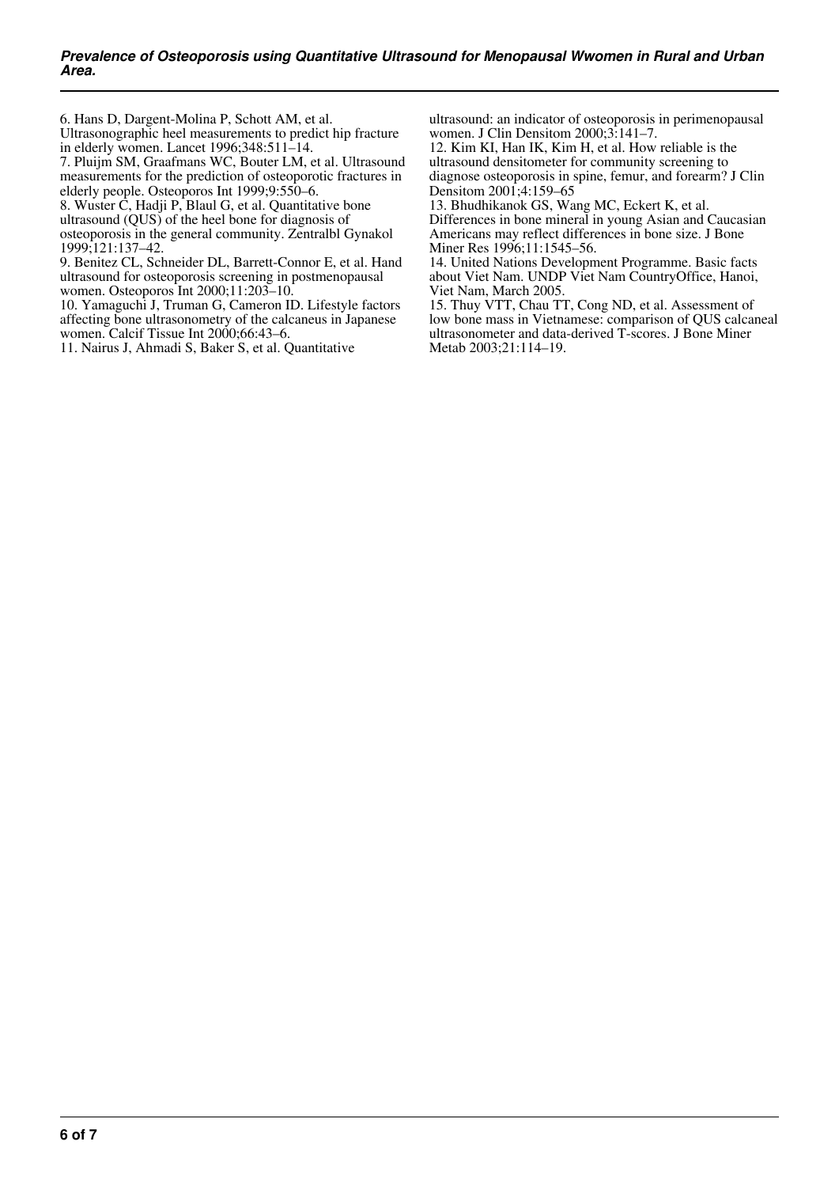6. Hans D, Dargent-Molina P, Schott AM, et al. Ultrasonographic heel measurements to predict hip fracture

in elderly women. Lancet 1996;348:511–14.

7. Pluijm SM, Graafmans WC, Bouter LM, et al. Ultrasound measurements for the prediction of osteoporotic fractures in elderly people. Osteoporos Int 1999;9:550–6.

8. Wuster C, Hadji P, Blaul G, et al. Quantitative bone ultrasound (QUS) of the heel bone for diagnosis of osteoporosis in the general community. Zentralbl Gynakol

1999;121:137–42. 9. Benitez CL, Schneider DL, Barrett-Connor E, et al. Hand ultrasound for osteoporosis screening in postmenopausal women. Osteoporos Int 2000;11:203–10.

10. Yamaguchi J, Truman G, Cameron ID. Lifestyle factors affecting bone ultrasonometry of the calcaneus in Japanese women. Calcif Tissue Int 2000;66:43-6.

11. Nairus J, Ahmadi S, Baker S, et al. Quantitative

ultrasound: an indicator of osteoporosis in perimenopausal women. J Clin Densitom 2000;3:141–7.

12. Kim KI, Han IK, Kim H, et al. How reliable is the ultrasound densitometer for community screening to diagnose osteoporosis in spine, femur, and forearm? J Clin Densitom 2001;4:159–65

13. Bhudhikanok GS, Wang MC, Eckert K, et al. Differences in bone mineral in young Asian and Caucasian Americans may reflect differences in bone size. J Bone Miner Res 1996;11:1545–56.

14. United Nations Development Programme. Basic facts about Viet Nam. UNDP Viet Nam CountryOffice, Hanoi, Viet Nam, March 2005.

15. Thuy VTT, Chau TT, Cong ND, et al. Assessment of low bone mass in Vietnamese: comparison of QUS calcaneal ultrasonometer and data-derived T-scores. J Bone Miner Metab 2003;21:114–19.